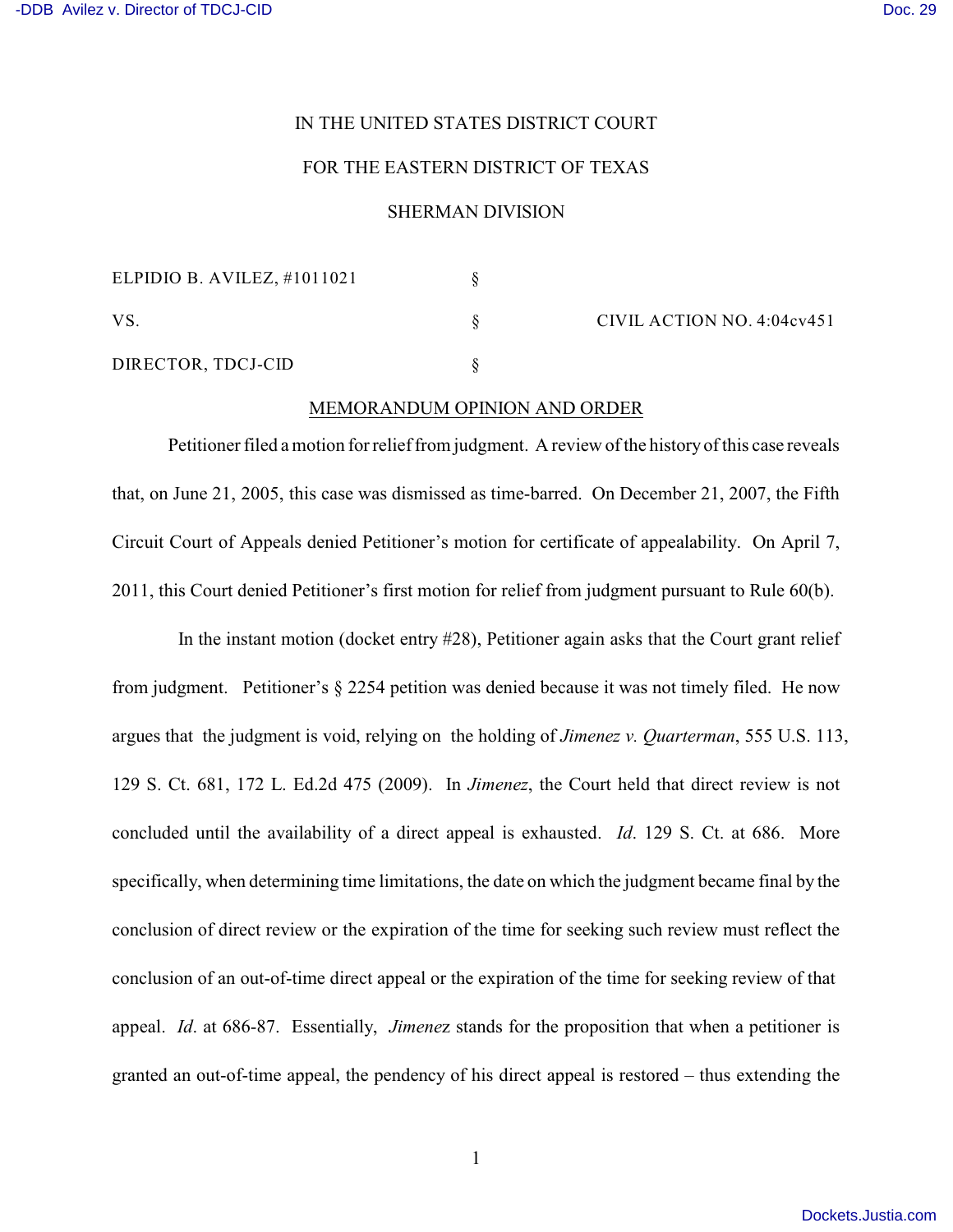IL ACTION NO. 4:04cv451

## IN THE UNITED STATES DISTRICT COURT

## FOR THE EASTERN DISTRICT OF TEXAS

## SHERMAN DIVISION

| ELPIDIO B. AVILEZ, $\#1011021$ |      |
|--------------------------------|------|
| VS.                            | CIV) |
| DIRECTOR, TDCJ-CID             |      |

## MEMORANDUM OPINION AND ORDER

Petitioner filed a motion for relief from judgment. A review of the history of this case reveals that, on June 21, 2005, this case was dismissed as time-barred. On December 21, 2007, the Fifth Circuit Court of Appeals denied Petitioner's motion for certificate of appealability. On April 7, 2011, this Court denied Petitioner's first motion for relief from judgment pursuant to Rule 60(b).

 In the instant motion (docket entry #28), Petitioner again asks that the Court grant relief from judgment. Petitioner's § 2254 petition was denied because it was not timely filed. He now argues that the judgment is void, relying on the holding of *Jimenez v. Quarterman*, 555 U.S. 113, 129 S. Ct. 681, 172 L. Ed.2d 475 (2009). In *Jimenez*, the Court held that direct review is not concluded until the availability of a direct appeal is exhausted. *Id*. 129 S. Ct. at 686. More specifically, when determining time limitations, the date on which the judgment became final by the conclusion of direct review or the expiration of the time for seeking such review must reflect the conclusion of an out-of-time direct appeal or the expiration of the time for seeking review of that appeal. *Id*. at 686-87. Essentially, *Jimene*z stands for the proposition that when a petitioner is granted an out-of-time appeal, the pendency of his direct appeal is restored – thus extending the